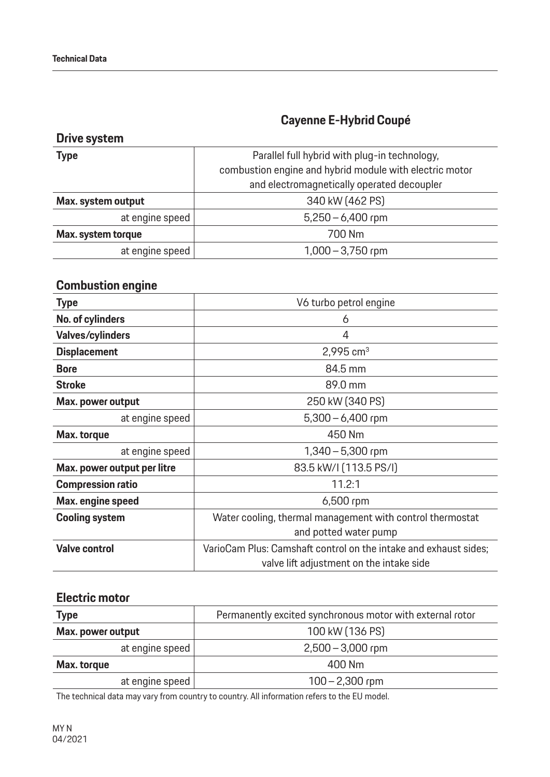## **Cayenne E-Hybrid Coupé**

| <b>Drive system</b> |                                                         |
|---------------------|---------------------------------------------------------|
| <b>Type</b>         | Parallel full hybrid with plug-in technology,           |
|                     | combustion engine and hybrid module with electric motor |
|                     | and electromagnetically operated decoupler              |
| Max. system output  | 340 kW (462 PS)                                         |
| at engine speed     | $5,250 - 6,400$ rpm                                     |
| Max. system torque  | 700 Nm                                                  |
| at engine speed     | $1,000 - 3,750$ rpm                                     |

### **Combustion engine**

| <b>Type</b>                 | V6 turbo petrol engine                                           |
|-----------------------------|------------------------------------------------------------------|
| No. of cylinders            | 6                                                                |
| <b>Valves/cylinders</b>     | 4                                                                |
| <b>Displacement</b>         | 2,995 $cm3$                                                      |
| <b>Bore</b>                 | 84.5 mm                                                          |
| <b>Stroke</b>               | 89.0 mm                                                          |
| Max. power output           | 250 kW (340 PS)                                                  |
| at engine speed             | $5,300 - 6,400$ rpm                                              |
| Max. torque                 | 450 Nm                                                           |
| at engine speed             | $1,340 - 5,300$ rpm                                              |
| Max. power output per litre | 83.5 kW/l (113.5 PS/l)                                           |
| <b>Compression ratio</b>    | 11.2:1                                                           |
| Max. engine speed           | 6,500 rpm                                                        |
| <b>Cooling system</b>       | Water cooling, thermal management with control thermostat        |
|                             | and potted water pump                                            |
| <b>Valve control</b>        | VarioCam Plus: Camshaft control on the intake and exhaust sides; |
|                             | valve lift adjustment on the intake side                         |

#### **Electric motor**

| Type              | Permanently excited synchronous motor with external rotor |
|-------------------|-----------------------------------------------------------|
| Max. power output | 100 kW (136 PS)                                           |
| at engine speed   | $2,500 - 3,000$ rpm                                       |
| Max. torque       | 400 Nm                                                    |
| at engine speed   | $100 - 2,300$ rpm                                         |

The technical data may vary from country to country. All information refers to the EU model.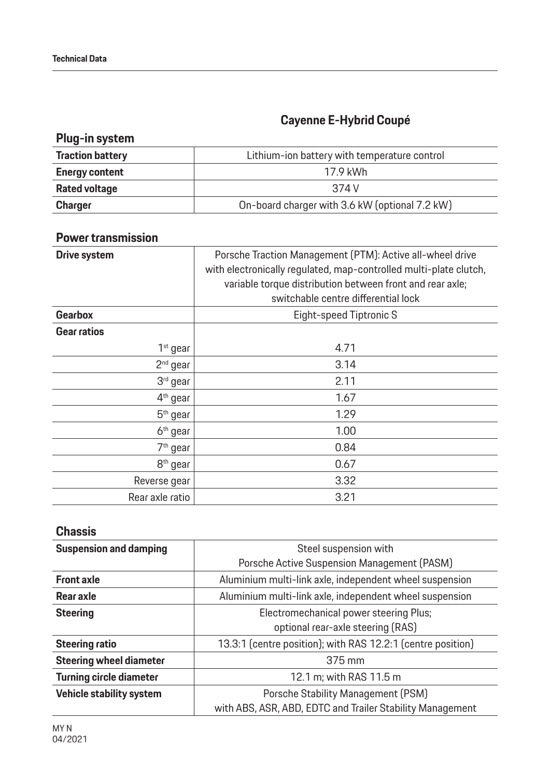# **Cayenne E-Hybrid Coupé**

## **Plug-in system**

| <b>Traction battery</b> | Lithium-ion battery with temperature control   |
|-------------------------|------------------------------------------------|
| <b>Energy content</b>   | 17.9 kWh                                       |
| <b>Rated voltage</b>    | 374 V                                          |
| <b>Charger</b>          | On-board charger with 3.6 kW (optional 7.2 kW) |

#### **Power transmission**

| <b>Drive system</b>  | Porsche Traction Management (PTM): Active all-wheel drive<br>with electronically regulated, map-controlled multi-plate clutch,<br>variable torque distribution between front and rear axle;<br>switchable centre differential lock |
|----------------------|------------------------------------------------------------------------------------------------------------------------------------------------------------------------------------------------------------------------------------|
| <b>Gearbox</b>       | Eight-speed Tiptronic S                                                                                                                                                                                                            |
| <b>Gear ratios</b>   |                                                                                                                                                                                                                                    |
| $1st$ gear           | 4.71                                                                                                                                                                                                                               |
| $2nd$ gear           | 3.14                                                                                                                                                                                                                               |
| $3rd$ gear           | 2.11                                                                                                                                                                                                                               |
| 4 <sup>th</sup> gear | 1.67                                                                                                                                                                                                                               |
| $5th$ gear           | 1.29                                                                                                                                                                                                                               |
| 6 <sup>th</sup> gear | 1.00                                                                                                                                                                                                                               |
| 7 <sup>th</sup> gear | 0.84                                                                                                                                                                                                                               |
| 8 <sup>th</sup> gear | 0.67                                                                                                                                                                                                                               |
| Reverse gear         | 3.32                                                                                                                                                                                                                               |
| Rear axle ratio      | 3.21                                                                                                                                                                                                                               |

#### **Chassis**

| <b>Suspension and damping</b>  | Steel suspension with                                                                           |
|--------------------------------|-------------------------------------------------------------------------------------------------|
|                                | Porsche Active Suspension Management (PASM)                                                     |
| <b>Front axle</b>              | Aluminium multi-link axle, independent wheel suspension                                         |
| Rear axle                      | Aluminium multi-link axle, independent wheel suspension                                         |
| <b>Steering</b>                | Electromechanical power steering Plus;<br>optional rear-axle steering (RAS)                     |
| <b>Steering ratio</b>          | 13.3:1 (centre position); with RAS 12.2:1 (centre position)                                     |
| <b>Steering wheel diameter</b> | 375 mm                                                                                          |
| <b>Turning circle diameter</b> | 12.1 m; with RAS 11.5 m                                                                         |
| Vehicle stability system       | Porsche Stability Management (PSM)<br>with ABS, ASR, ABD, EDTC and Trailer Stability Management |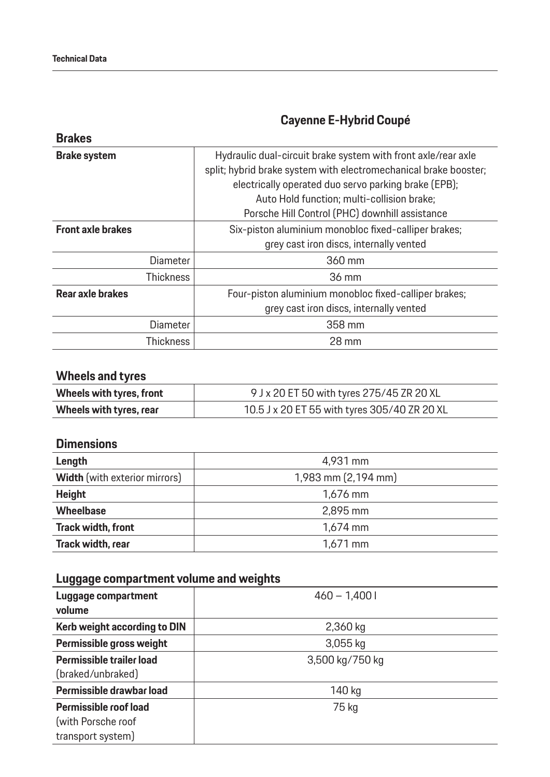**Brakes**

# **Cayenne E-Hybrid Coupé**

|                  | Hydraulic dual-circuit brake system with front axle/rear axle<br>split; hybrid brake system with electromechanical brake booster;<br>electrically operated duo servo parking brake (EPB);<br>Auto Hold function; multi-collision brake;<br>Porsche Hill Control (PHC) downhill assistance |
|------------------|-------------------------------------------------------------------------------------------------------------------------------------------------------------------------------------------------------------------------------------------------------------------------------------------|
|                  | Six-piston aluminium monobloc fixed-calliper brakes;<br>grey cast iron discs, internally vented                                                                                                                                                                                           |
| <b>Diameter</b>  | 360 mm                                                                                                                                                                                                                                                                                    |
| <b>Thickness</b> | 36 mm                                                                                                                                                                                                                                                                                     |
|                  | Four-piston aluminium monobloc fixed-calliper brakes;<br>grey cast iron discs, internally vented                                                                                                                                                                                          |
| <b>Diameter</b>  | 358 mm                                                                                                                                                                                                                                                                                    |
| <b>Thickness</b> | 28 mm                                                                                                                                                                                                                                                                                     |
|                  |                                                                                                                                                                                                                                                                                           |

## **Wheels and tyres**

| Wheels with tyres, front | 9 J x 20 ET 50 with tyres 275/45 ZR 20 XL    |
|--------------------------|----------------------------------------------|
| Wheels with tyres, rear  | 10.5 J x 20 ET 55 with tyres 305/40 ZR 20 XL |

#### **Dimensions**

| Length                               | 4,931 mm            |
|--------------------------------------|---------------------|
| <b>Width</b> (with exterior mirrors) | 1,983 mm (2,194 mm) |
| <b>Height</b>                        | 1,676 mm            |
| <b>Wheelbase</b>                     | 2,895 mm            |
| <b>Track width, front</b>            | $1,674$ mm          |
| Track width, rear                    | $1,671$ mm          |

## **Luggage compartment volume and weights**

| Luggage compartment<br>volume | $460 - 1,4001$  |
|-------------------------------|-----------------|
| Kerb weight according to DIN  | 2,360 kg        |
| Permissible gross weight      | 3,055 kg        |
| Permissible trailer load      | 3,500 kg/750 kg |
| (braked/unbraked)             |                 |
| Permissible drawbar load      | 140 kg          |
| Permissible roof load         | 75 kg           |
| (with Porsche roof            |                 |
| transport system)             |                 |